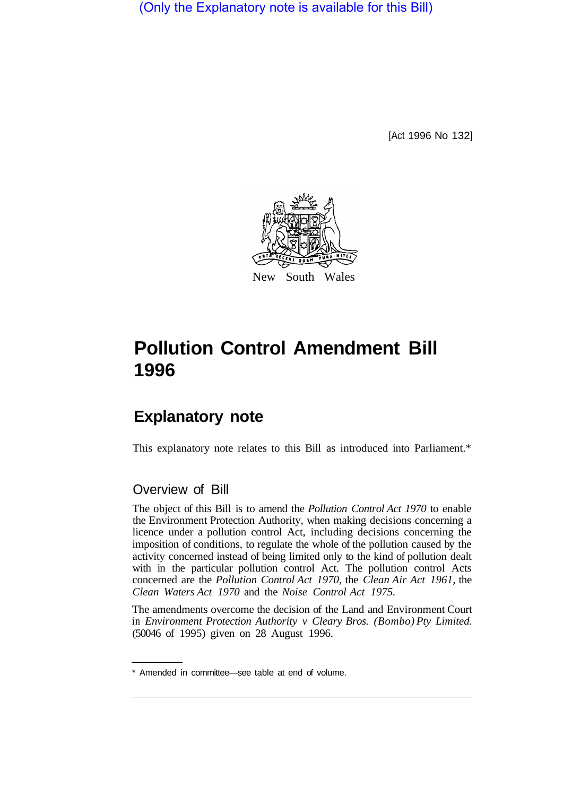(Only the Explanatory note is available for this Bill)

[Act 1996 No 132]



## **Pollution Control Amendment Bill 1996**

## **Explanatory note**

This explanatory note relates to this Bill as introduced into Parliament.\*

## Overview of Bill

The object of this Bill is to amend the *Pollution Control Act 1970* to enable the Environment Protection Authority, when making decisions concerning a licence under a pollution control Act, including decisions concerning the imposition of conditions, to regulate the whole of the pollution caused by the activity concerned instead of being limited only to the kind of pollution dealt with in the particular pollution control Act. The pollution control Acts concerned are the *Pollution Control Act 1970,* the *Clean Air Act 1961,* the *Clean Waters Act 1970* and the *Noise Control Act 1975.* 

The amendments overcome the decision of the Land and Environment Court in *Environment Protection Authority v Cleary Bros. (Bombo) Pty Limited.*  (50046 of 1995) given on 28 August 1996.

<sup>\*</sup> Amended in committee—see table at end of volume.